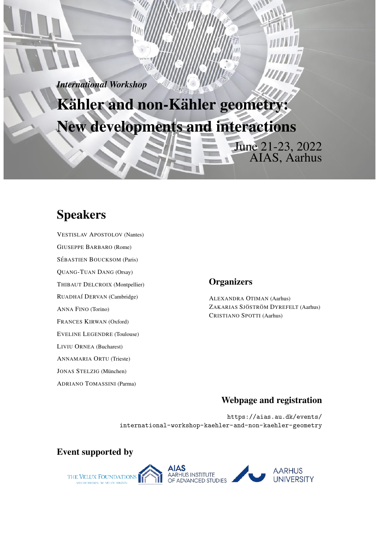*International Workshop*

Kähler and non-Kähler geometry: New developments and interactions

# Speakers

VESTISLAV APOSTOLOV (Nantes) GIUSEPPE BARBARO (Rome)

SÉBASTIEN BOUCKSOM (Paris)

QUANG-TUAN DANG (Orsay)

THIBAUT DELCROIX (Montpellier)

RUADHA´I DERVAN (Cambridge)

ANNA FINO (Torino)

FRANCES KIRWAN (Oxford)

EVELINE LEGENDRE (Toulouse)

LIVIU ORNEA (Bucharest)

ANNAMARIA ORTU (Trieste)

JONAS STELZIG (München)

ADRIANO TOMASSINI (Parma)

# **Organizers**

ALEXANDRA OTIMAN (Aarhus) ZAKARIAS SJÖSTRÖM DYREFELT (Aarhus) CRISTIANO SPOTTI (Aarhus)

June 21-23, 2022

AIAS, Aarhus

# Webpage and registration

https://aias.au.dk/events/ international-workshop-kaehler-and-non-kaehler-geometry

Event supported by

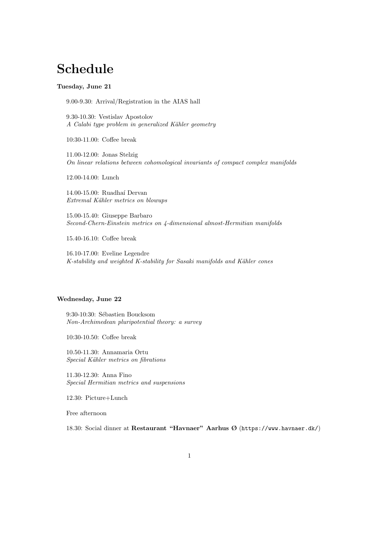# Schedule

### Tuesday, June 21

9.00-9.30: Arrival/Registration in the AIAS hall

9.30-10.30: Vestislav Apostolov A Calabi type problem in generalized Kähler geometry

10:30-11.00: Coffee break

11.00-12.00: Jonas Stelzig On linear relations between cohomological invariants of compact complex manifolds

12.00-14.00: Lunch

14.00-15.00: Ruadha´ı Dervan Extremal Kähler metrics on blowups

15.00-15.40: Giuseppe Barbaro Second-Chern-Einstein metrics on 4-dimensional almost-Hermitian manifolds

15.40-16.10: Coffee break

16.10-17.00: Eveline Legendre K-stability and weighted K-stability for Sasaki manifolds and Kähler cones

## Wednesday, June 22

9:30-10:30: Sébastien Boucksom Non-Archimedean pluripotential theory: a survey

10:30-10.50: Coffee break

10.50-11.30: Annamaria Ortu Special Kähler metrics on fibrations

11.30-12.30: Anna Fino Special Hermitian metrics and suspensions

12.30: Picture+Lunch

Free afternoon

18.30: Social dinner at Restaurant "Havnaer" Aarhus Ø (https://www.havnaer.dk/)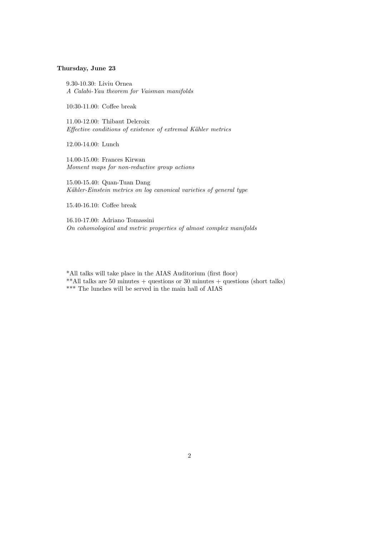# Thursday, June 23

9.30-10.30: Liviu Ornea A Calabi-Yau theorem for Vaisman manifolds

10:30-11.00: Coffee break

11.00-12.00: Thibaut Delcroix Effective conditions of existence of extremal Kähler metrics

12.00-14.00: Lunch

14.00-15.00: Frances Kirwan Moment maps for non-reductive group actions

15.00-15.40: Quan-Tuan Dang Kähler-Einstein metrics on log canonical varieties of general type

15.40-16.10: Coffee break

16.10-17.00: Adriano Tomassini On cohomological and metric properties of almost complex manifolds

\*All talks will take place in the AIAS Auditorium (first floor) \*\*All talks are 50 minutes + questions or 30 minutes + questions (short talks)  $\rm***$  The lunches will be served in the main hall of AIAS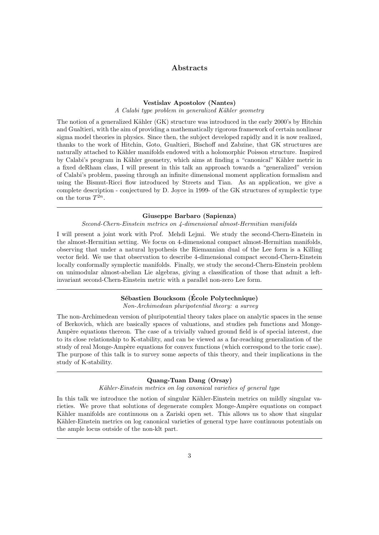### Abstracts

#### Vestislav Apostolov (Nantes)

A Calabi type problem in generalized Kähler geometry

The notion of a generalized Kähler (GK) structure was introduced in the early 2000's by Hitchin and Gualtieri, with the aim of providing a mathematically rigorous framework of certain nonlinear sigma model theories in physics. Since then, the subject developed rapidly and it is now realized, thanks to the work of Hitchin, Goto, Gualtieri, Bischoff and Zabzine, that GK structures are naturally attached to Kähler manifolds endowed with a holomorphic Poisson structure. Inspired by Calabi's program in Kähler geometry, which aims at finding a "canonical" Kähler metric in a fixed deRham class, I will present in this talk an approach towards a "generalized" version of Calabi's problem, passing through an infinite dimensional moment application formalism and using the Bismut-Ricci flow introduced by Streets and Tian. As an application, we give a complete description - conjectured by D. Joyce in 1999- of the GK structures of symplectic type on the torus  $T^{2n}$ .

#### Giuseppe Barbaro (Sapienza)

Second-Chern-Einstein metrics on 4-dimensional almost-Hermitian manifolds

I will present a joint work with Prof. Mehdi Lejmi. We study the second-Chern-Einstein in the almost-Hermitian setting. We focus on 4-dimensional compact almost-Hermitian manifolds, observing that under a natural hypothesis the Riemannian dual of the Lee form is a Killing vector field. We use that observation to describe 4-dimensional compact second-Chern-Einstein locally conformally symplectic manifolds. Finally, we study the second-Chern-Einstein problem on unimodular almost-abelian Lie algebras, giving a classification of those that admit a leftinvariant second-Chern-Einstein metric with a parallel non-zero Lee form.

# Sébastien Boucksom (École Polytechnique)

Non-Archimedean pluripotential theory: a survey

The non-Archimedean version of pluripotential theory takes place on analytic spaces in the sense of Berkovich, which are basically spaces of valuations, and studies psh functions and Monge-Ampère equations thereon. The case of a trivially valued ground field is of special interest, due to its close relationship to K-stability, and can be viewed as a far-reaching generalization of the study of real Monge-Ampère equations for convex functions (which correspond to the toric case). The purpose of this talk is to survey some aspects of this theory, and their implications in the study of K-stability.

#### Quang-Tuan Dang (Orsay)

Kähler-Einstein metrics on log canonical varieties of general type

In this talk we introduce the notion of singular Kähler-Einstein metrics on mildly singular varieties. We prove that solutions of degenerate complex Monge-Ampère equations on compact Kähler manifolds are continuous on a Zariski open set. This allows us to show that singular Kähler-Einstein metrics on log canonical varieties of general type have continuous potentials on the ample locus outside of the non-klt part.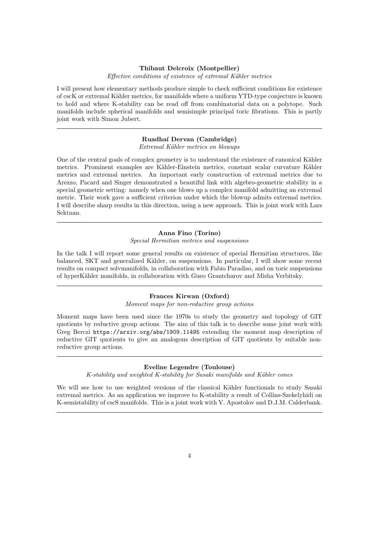#### Thibaut Delcroix (Montpellier)

Effective conditions of existence of extremal Kähler metrics

I will present how elementary methods produce simple to check sufficient conditions for existence of cscK or extremal Kähler metrics, for manifolds where a uniform YTD-type conjecture is known to hold and where K-stability can be read off from combinatorial data on a polytope. Such manifolds include spherical manifolds and semisimple principal toric fibrations. This is partly joint work with Simon Jubert.

#### Ruadha´ı Dervan (Cambridge)

Extremal Kähler metrics on blowups

One of the central goals of complex geometry is to understand the existence of canonical Kähler metrics. Prominent examples are Kähler-Einstein metrics, constant scalar curvature Kähler metrics and extremal metrics. An important early construction of extremal metrics due to Arezzo, Pacard and Singer demonstrated a beautiful link with algebro-geometric stability in a special geometric setting: namely when one blows up a complex manifold admitting an extremal metric. Their work gave a sufficient criterion under which the blowup admits extremal metrics. I will describe sharp results in this direction, using a new approach. This is joint work with Lars Sektnan.

#### Anna Fino (Torino)

#### Special Hermitian metrics and suspensions

In the talk I will report some general results on existence of special Hermitian structures, like balanced, SKT and generalized Kähler, on suspensions. In particular, I will show some recent results on compact solvmanifolds, in collaboration with Fabio Paradiso, and on toric suspensions of hyperK¨ahler manifolds, in collaboration with Gueo Grantcharov and Misha Verbitsky.

# Frances Kirwan (Oxford)

Moment maps for non-reductive group actions

Moment maps have been used since the 1970s to study the geometry and topology of GIT quotients by reductive group actions. The aim of this talk is to describe some joint work with Greg Berczi https://arxiv.org/abs/1909.11495 extending the moment map description of reductive GIT quotients to give an analogous description of GIT quotients by suitable nonreductive group actions.

#### Eveline Legendre (Toulouse)

K-stability and weighted K-stability for Sasaki manifolds and Kähler cones

We will see how to use weighted versions of the classical Kähler functionals to study Sasaki extremal metrics. As an application we improve to K-stability a result of Collins-Szekelyhidi on K-semistability of cscS manifolds. This is a joint work with V. Apostolov and D.J.M. Calderbank.